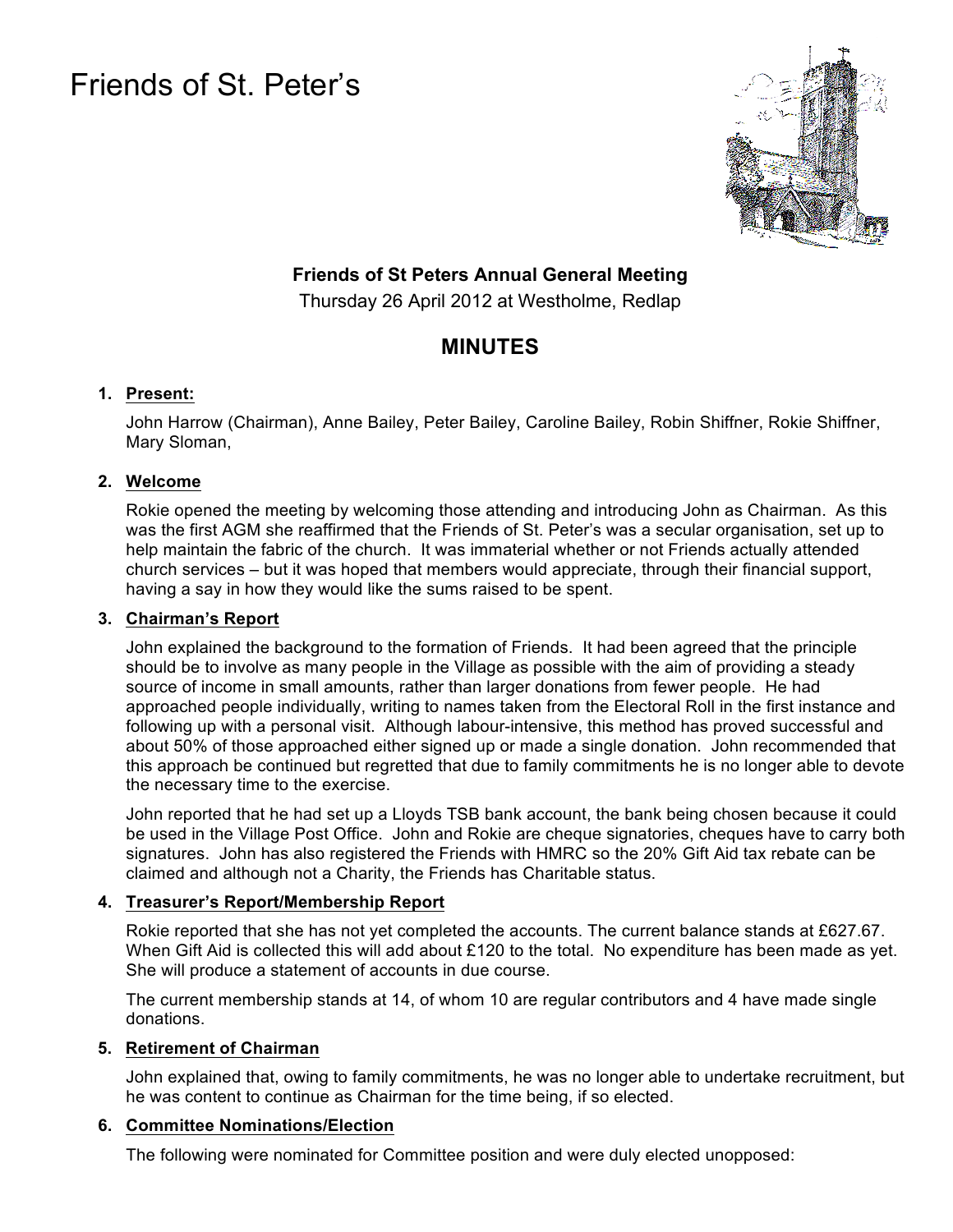# Friends of St. Peter's



## **Friends of St Peters Annual General Meeting**

Thursday 26 April 2012 at Westholme, Redlap

# **MINUTES**

#### **1. Present:**

John Harrow (Chairman), Anne Bailey, Peter Bailey, Caroline Bailey, Robin Shiffner, Rokie Shiffner, Mary Sloman,

#### **2. Welcome**

Rokie opened the meeting by welcoming those attending and introducing John as Chairman. As this was the first AGM she reaffirmed that the Friends of St. Peter's was a secular organisation, set up to help maintain the fabric of the church. It was immaterial whether or not Friends actually attended church services – but it was hoped that members would appreciate, through their financial support, having a say in how they would like the sums raised to be spent.

#### **3. Chairman's Report**

John explained the background to the formation of Friends. It had been agreed that the principle should be to involve as many people in the Village as possible with the aim of providing a steady source of income in small amounts, rather than larger donations from fewer people. He had approached people individually, writing to names taken from the Electoral Roll in the first instance and following up with a personal visit. Although labour-intensive, this method has proved successful and about 50% of those approached either signed up or made a single donation. John recommended that this approach be continued but regretted that due to family commitments he is no longer able to devote the necessary time to the exercise.

John reported that he had set up a Lloyds TSB bank account, the bank being chosen because it could be used in the Village Post Office. John and Rokie are cheque signatories, cheques have to carry both signatures. John has also registered the Friends with HMRC so the 20% Gift Aid tax rebate can be claimed and although not a Charity, the Friends has Charitable status.

## **4. Treasurer's Report/Membership Report**

Rokie reported that she has not yet completed the accounts. The current balance stands at £627.67. When Gift Aid is collected this will add about £120 to the total. No expenditure has been made as yet. She will produce a statement of accounts in due course.

The current membership stands at 14, of whom 10 are regular contributors and 4 have made single donations.

#### **5. Retirement of Chairman**

John explained that, owing to family commitments, he was no longer able to undertake recruitment, but he was content to continue as Chairman for the time being, if so elected.

#### **6. Committee Nominations/Election**

The following were nominated for Committee position and were duly elected unopposed: